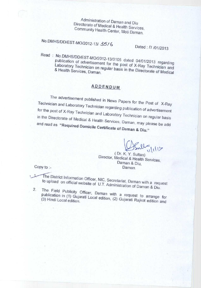**Administration of Daman and Diu Directorate of Medical & Health Services, Community Health Center** , **Moti Daman.**

**No.DMHS**/**DD/EST**-**MO/2012**-13/ <sup>3516</sup> **Dated** .-///**01/2013**

**Read** : **No.DMHS/DD/EST-MO/2012-13/3105** dated 04/01/2013 regarding publication of advertisement for the post of X-Ray Technician and<br>Laboratory Technician on regular basis in the Directorate of Medical<br>& Health Services Daman Laboratory Technician on regular basis in the Directorate of Medical

## **ADDENDUM**

The advertisement published in News Papers for the Post of X-Ra Technician and Laboratory Technician regarding with the Post of X-Ray garding publication of advertisement for the post of X-Ray Technician and Laboratory Technician on regular basis In the Directorate of Medical & Health Services, D. and read as "Required Domisite Covers" Daman, may please be add and read as "Required Domicile Certificate of Daman & Diu."

( Dr. K. Y. Sultan)

Director, Medical & Health Services, Daman & Diu, Daman.

Copy to :-

 $\perp$ 

**Elistrict Information Officer, NIC, Secretariat** to upload on official website of U.T. Administration of D.

2. The Field Publicity Officer, Daman with a request to arrange for publication in (1) Gujarati Local edition, (2) Gujarati Rajkot edition and<br>(3) Hindi Local edition